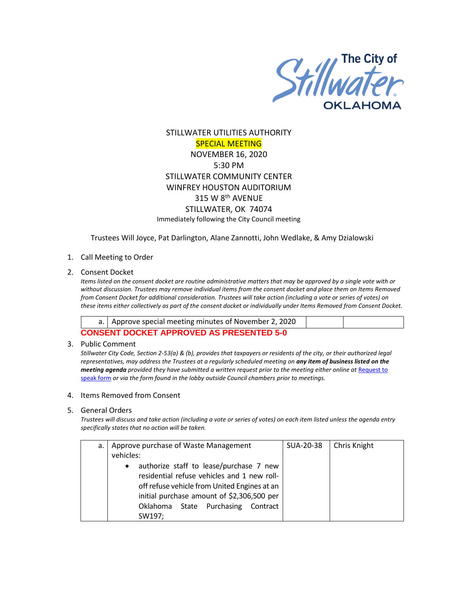

# STILLWATER UTILITIES AUTHORITY SPECIAL MEETING NOVEMBER 16, 2020 5:30 PM STILLWATER COMMUNITY CENTER WINFREY HOUSTON AUDITORIUM 315 W 8th AVENUE STILLWATER, OK 74074 Immediately following the City Council meeting

Trustees Will Joyce, Pat Darlington, Alane Zannotti, John Wedlake, & Amy Dzialowski

## 1. Call Meeting to Order

#### 2. Consent Docket

*Items listed on the consent docket are routine administrative matters that may be approved by a single vote with or without discussion. Trustees may remove individual items from the consent docket and place them on Items Removed from Consent Docket for additional consideration. Trustees will take action (including a vote or series of votes) on these items either collectively as part of the consent docket or individually under Items Removed from Consent Docket.*

| a.   Approve special meeting minutes of November 2, 2020 |  |
|----------------------------------------------------------|--|
| CONSENT DOCKET APPROVED AS PRESENTED 5-0                 |  |

#### 3. Public Comment

*Stillwater City Code, Section 2-53(a) & (b), provides that taxpayers or residents of the city, or their authorized legal representatives, may address the Trustees at a regularly scheduled meeting on any item of business listed on the meeting agenda provided they have submitted a written request prior to the meeting either online at Request to* [speak form](http://stillwater.org/page/home/government/mayor-city-council/meetings-agendas-minutes/online-request-to-speak-at-city-council) *or via the form found in the lobby outside Council chambers prior to meetings.*

#### 4. Items Removed from Consent

## 5. General Orders

*Trustees will discuss and take action (including a vote or series of votes) on each item listed unless the agenda entry specifically states that no action will be taken.*

| a. |                                            |                                              |  | Approve purchase of Waste Management        |  | SUA-20-38 | Chris Knight |
|----|--------------------------------------------|----------------------------------------------|--|---------------------------------------------|--|-----------|--------------|
|    | vehicles:                                  |                                              |  |                                             |  |           |              |
|    | $\bullet$                                  |                                              |  | authorize staff to lease/purchase 7 new     |  |           |              |
|    |                                            |                                              |  | residential refuse vehicles and 1 new roll- |  |           |              |
|    |                                            | off refuse vehicle from United Engines at an |  |                                             |  |           |              |
|    | initial purchase amount of \$2,306,500 per |                                              |  |                                             |  |           |              |
|    |                                            |                                              |  | Oklahoma State Purchasing Contract          |  |           |              |
|    |                                            | SW197;                                       |  |                                             |  |           |              |
|    |                                            |                                              |  |                                             |  |           |              |